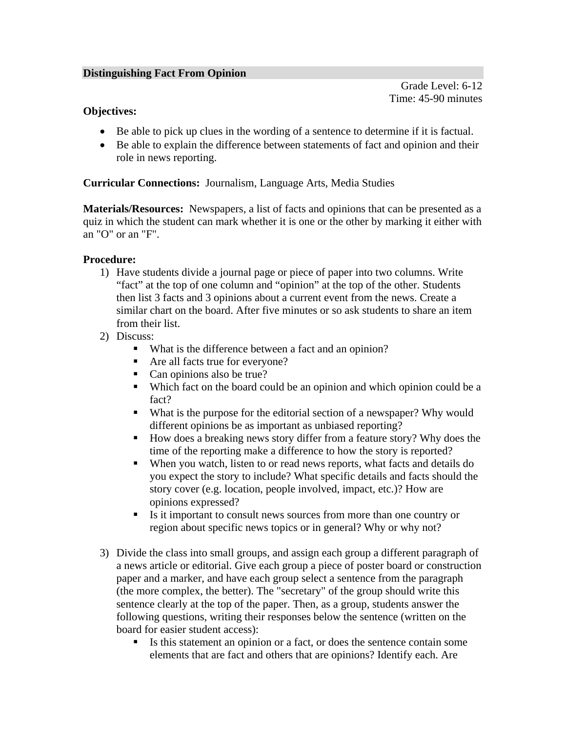Grade Level: 6-12 Time: 45-90 minutes

## **Objectives:**

- Be able to pick up clues in the wording of a sentence to determine if it is factual.
- Be able to explain the difference between statements of fact and opinion and their role in news reporting.

**Curricular Connections:** Journalism, Language Arts, Media Studies

**Materials/Resources:** Newspapers, a list of facts and opinions that can be presented as a quiz in which the student can mark whether it is one or the other by marking it either with an "O" or an "F".

## **Procedure:**

- 1) Have students divide a journal page or piece of paper into two columns. Write "fact" at the top of one column and "opinion" at the top of the other. Students then list 3 facts and 3 opinions about a current event from the news. Create a similar chart on the board. After five minutes or so ask students to share an item from their list.
- 2) Discuss:
	- What is the difference between a fact and an opinion?
	- Are all facts true for everyone?
	- Can opinions also be true?
	- Which fact on the board could be an opinion and which opinion could be a fact?
	- What is the purpose for the editorial section of a newspaper? Why would different opinions be as important as unbiased reporting?
	- How does a breaking news story differ from a feature story? Why does the time of the reporting make a difference to how the story is reported?
	- When you watch, listen to or read news reports, what facts and details do you expect the story to include? What specific details and facts should the story cover (e.g. location, people involved, impact, etc.)? How are opinions expressed?
	- Is it important to consult news sources from more than one country or region about specific news topics or in general? Why or why not?
- 3) Divide the class into small groups, and assign each group a different paragraph of a news article or editorial. Give each group a piece of poster board or construction paper and a marker, and have each group select a sentence from the paragraph (the more complex, the better). The "secretary" of the group should write this sentence clearly at the top of the paper. Then, as a group, students answer the following questions, writing their responses below the sentence (written on the board for easier student access):
	- Is this statement an opinion or a fact, or does the sentence contain some elements that are fact and others that are opinions? Identify each. Are